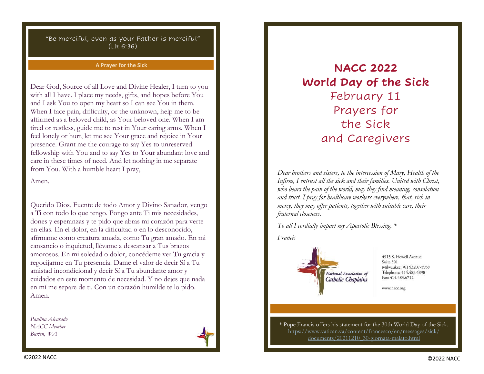#### **A Prayer for the Sick**

Dear God, Source of all Love and Divine Healer, I turn to you with all I have. I place my needs, gifts, and hopes before You and I ask You to open my heart so I can see You in them. When I face pain, difficulty, or the unknown, help me to be affirmed as a beloved child, as Your beloved one. When I am tired or restless, guide me to rest in Your caring arms. When I feel lonely or hurt, let me see Your grace and rejoice in Your presence. Grant me the courage to say Yes to unreserved fellowship with You and to say Yes to Your abundant love and care in these times of need. And let nothing in me separate from You. With a humble heart I pray,

Amen.

Querido Dios, Fuente de todo Amor y Divino Sanador, vengo a Ti con todo lo que tengo. Pongo ante Ti mis necesidades, dones y esperanzas y te pido que abras mi corazón para verte en ellas. En el dolor, en la dificultad o en lo desconocido, afírmame como creatura amada, como Tu gran amado. En mi cansancio o inquietud, llévame a descansar a Tus brazos amorosos. En mi soledad o dolor, concédeme ver Tu gracia y regocijarme en Tu presencia. Dame el valor de decir Sí a Tu amistad incondicional y decir Sí a Tu abundante amor y cuidados en este momento de necesidad. Y no dejes que nada en mí me separe de ti. Con un corazón humilde te lo pido. Amen.

*Paulina Alvarado NACC Member Burien, WA*



# **NACC 2022 World Day of the Sick** February 11 Prayers for the Sick and Caregivers

*Dear brothers and sisters, to the intercession of Mary, Health of the Infirm, I entrust all the sick and their families. United with Christ, who bears the pain of the world, may they find meaning, consolation and trust. I pray for healthcare workers everywhere, that, rich in mercy, they may offer patients, together with suitable care, their fraternal closeness.*

*To all I cordially impart my Apostolic Blessing. \**

*Francis*



4915 S. Howell Avenue Suite 501 Milwaukee, WI 53207-5939 Telephone: 414.483.4898 Fax: 414.483.6712

www.nacc.org

\* Pope Francis offers his statement for the 30th World Day of the Sick. [https://www.vatican.va/content/francesco/en/messages/sick/](about:blank) [documents/20211210\\_30-giornata-malato.html](about:blank)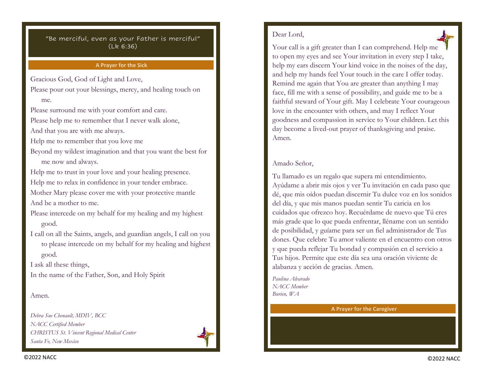#### **A Prayer for the Sick**

Gracious God, God of Light and Love,

Please pour out your blessings, mercy, and healing touch on me.

Please surround me with your comfort and care.

Please help me to remember that I never walk alone,

And that you are with me always.

Help me to remember that you love me

Beyond my wildest imagination and that you want the best for me now and always.

Help me to trust in your love and your healing presence.

Help me to relax in confidence in your tender embrace.

Mother Mary please cover me with your protective mantle And be a mother to me.

Please intercede on my behalf for my healing and my highest good.

I call on all the Saints, angels, and guardian angels, I call on you to please intercede on my behalf for my healing and highest good.

I ask all these things,

In the name of the Father, Son, and Holy Spirit

#### Amen.

*Debra Sue Chenault, MDIV, BCC NACC Certified Member CHRISTUS St. Vincent Regional Medical Center Santa Fe, New Mexico*



# Dear Lord,

Your call is a gift greater than I can comprehend. Help me to open my eyes and see Your invitation in every step I take, help my ears discern Your kind voice in the noises of the day, and help my hands feel Your touch in the care I offer today. Remind me again that You are greater than anything I may face, fill me with a sense of possibility, and guide me to be a faithful steward of Your gift. May I celebrate Your courageous love in the encounter with others, and may I reflect Your goodness and compassion in service to Your children. Let this day become a lived-out prayer of thanksgiving and praise. Amen.

## Amado Señor,

Tu llamado es un regalo que supera mi entendimiento. Ayúdame a abrir mis ojos y ver Tu invitación en cada paso que dé, que mis oídos puedan discernir Tu dulce voz en los sonidos del día, y que mis manos puedan sentir Tu caricia en los cuidados que ofrezco hoy. Recuérdame de nuevo que Tú eres más grade que lo que pueda enfrentar, lléname con un sentido de posibilidad, y guíame para ser un fiel administrador de Tus dones. Que celebre Tu amor valiente en el encuentro con otros y que pueda reflejar Tu bondad y compasión en el servicio a Tus hijos. Permite que este día sea una oración viviente de alabanza y acción de gracias. Amen.

*Paulina Alvarado NACC Member Burien, WA*

#### **A Prayer for the Caregiver**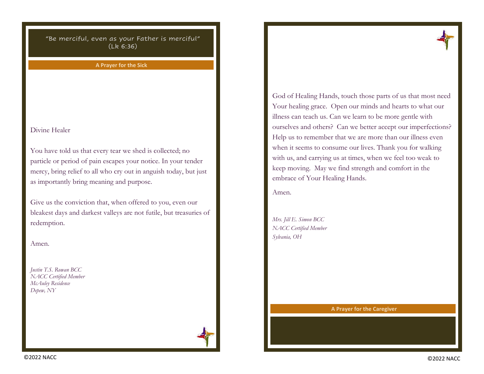**A Prayer for the Sick**

Divine Healer

You have told us that every tear we shed is collected; no particle or period of pain escapes your notice. In your tender mercy, bring relief to all who cry out in anguish today, but just as importantly bring meaning and purpose.

Give us the conviction that, when offered to you, even our bleakest days and darkest valleys are not futile, but treasuries of redemption.

Amen.

*Justin T.S. Rowan BCC NACC Certified Member McAuley Residence Depew, NY*



God of Healing Hands, touch those parts of us that most need Your healing grace. Open our minds and hearts to what our illness can teach us. Can we learn to be more gentle with ourselves and others? Can we better accept our imperfections? Help us to remember that we are more than our illness even when it seems to consume our lives. Thank you for walking with us, and carrying us at times, when we feel too weak to keep moving. May we find strength and comfort in the embrace of Your Healing Hands.

Amen.

*Mrs. Jill E. Simon BCC NACC Certified Member Sylvania, OH*

**A Prayer for the Caregiver**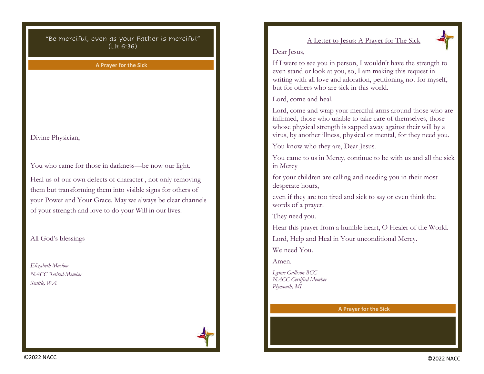**A Prayer for the Sick**

Divine Physician,

You who came for those in darkness—be now our light.

Heal us of our own defects of character , not only removing them but transforming them into visible signs for others of your Power and Your Grace. May we always be clear channels of your strength and love to do your Will in our lives.

All God's blessings

*Elizabeth Maslow NACC Retired-Member Seattle, WA*



# A Letter to Jesus: A Prayer for The Sick



### Dear Jesus,

If I were to see you in person, I wouldn't have the strength to even stand or look at you, so, I am making this request in writing with all love and adoration, petitioning not for myself, but for others who are sick in this world.

Lord, come and heal.

Lord, come and wrap your merciful arms around those who are infirmed, those who unable to take care of themselves, those whose physical strength is sapped away against their will by a virus, by another illness, physical or mental, for they need you.

You know who they are, Dear Jesus.

You came to us in Mercy, continue to be with us and all the sick in Mercy

for your children are calling and needing you in their most desperate hours,

even if they are too tired and sick to say or even think the words of a prayer.

They need you.

Hear this prayer from a humble heart, O Healer of the World.

Lord, Help and Heal in Your unconditional Mercy.

We need You.

Amen.

*Lynne Gallison BCC NACC Certified Member Plymouth, MI*

**A Prayer for the Sick**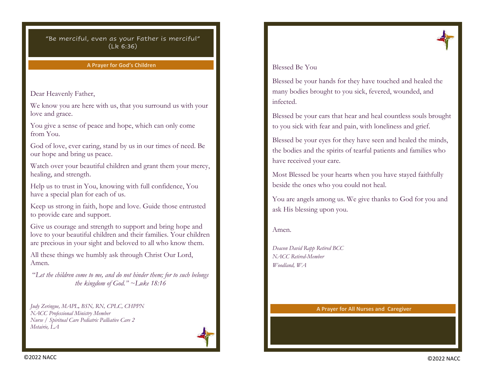#### **A Prayer for God's Children**

### Dear Heavenly Father,

We know you are here with us, that you surround us with your love and grace.

You give a sense of peace and hope, which can only come from You.

God of love, ever caring, stand by us in our times of need. Be our hope and bring us peace.

Watch over your beautiful children and grant them your mercy, healing, and strength.

Help us to trust in You, knowing with full confidence, You have a special plan for each of us.

Keep us strong in faith, hope and love. Guide those entrusted to provide care and support.

Give us courage and strength to support and bring hope and love to your beautiful children and their families. Your children are precious in your sight and beloved to all who know them.

All these things we humbly ask through Christ Our Lord, Amen.

"*Let the children come to me, and do not hinder them; for to such belongs the kingdom of God." ~Luke 18:16* 

*Judy Zeringue, MAPL, BSN, RN, CPLC, CHPPN NACC Professional Ministry Member Nurse / Spiritual Care Pediatric Palliative Care 2 Metairie, LA*





## Blessed Be You

Blessed be your hands for they have touched and healed the many bodies brought to you sick, fevered, wounded, and infected.

Blessed be your ears that hear and heal countless souls brought to you sick with fear and pain, with loneliness and grief.

Blessed be your eyes for they have seen and healed the minds, the bodies and the spirits of tearful patients and families who have received your care.

Most Blessed be your hearts when you have stayed faithfully beside the ones who you could not heal.

You are angels among us. We give thanks to God for you and ask His blessing upon you.

#### Amen.

*Deacon David Rapp Retired BCC NACC Retired-Member Woodland, WA*

#### **A Prayer for All Nurses and Caregiver**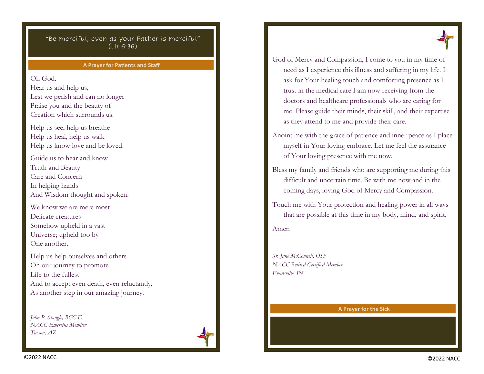#### **A Prayer for Patients and Staff**

Oh God.

Hear us and help us, Lest we perish and can no longer Praise you and the beauty of Creation which surrounds us.

Help us see, help us breathe Help us heal, help us walk Help us know love and be loved.

Guide us to hear and know Truth and Beauty Care and Concern In helping hands And Wisdom thought and spoken.

We know we are mere most Delicate creatures Somehow upheld in a vast Universe; upheld too by One another.

Help us help ourselves and others On our journey to promote Life to the fullest And to accept even death, even reluctantly, As another step in our amazing journey.

*John P. Stangle, BCC-E NACC Emeritus Member Tucson, AZ*





God of Mercy and Compassion, I come to you in my time of need as I experience this illness and suffering in my life. I ask for Your healing touch and comforting presence as I trust in the medical care I am now receiving from the doctors and healthcare professionals who are caring for me. Please guide their minds, their skill, and their expertise as they attend to me and provide their care.

Anoint me with the grace of patience and inner peace as I place myself in Your loving embrace. Let me feel the assurance of Your loving presence with me now.

Bless my family and friends who are supporting me during this difficult and uncertain time. Be with me now and in the coming days, loving God of Mercy and Compassion.

Touch me with Your protection and healing power in all ways that are possible at this time in my body, mind, and spirit. Amen

*Sr. Jane McConnell, OSF NACC Retired-Certified Member Evansville, IN*

**A Prayer for the Sick**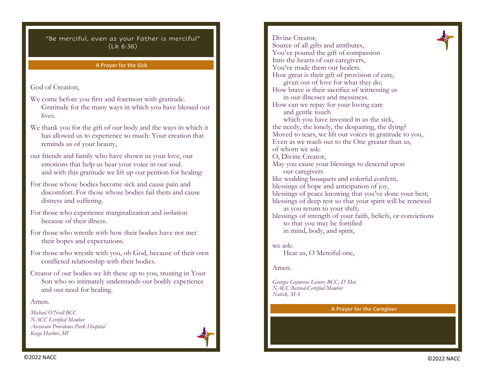#### **A Prayer for the Sick**

God of Creation,

- We come before you first and foremost with gratitude. Gratitude for the many ways in which you have blessed our lives.
- We thank you for the gift of our body and the ways in which it has allowed us to experience so much: Your creation that reminds us of your beauty,
- our friends and family who have shown us your love, our emotions that help us hear your voice in our soul. and with this gratitude we lift up our petition for healing:
- For those whose bodies become sick and cause pain and discomfort. For those whose bodies fail them and cause distress and suffering.
- For those who experience marginalization and isolation because of their illness.
- For those who wrestle with how their bodies have not met their hopes and expectations.
- For those who wrestle with you, oh God, because of their own conflicted relationship with their bodies.
- Creator of our bodies we lift these up to you, trusting in Your Son who so intimately understands our bodily experience and our need for healing.

#### Amen.

*Michael O'Neill BCC NACC Certified Member Ascension Providence Park Hospital Keego Harbor, MI*



Divine Creator, Source of all gifts and attributes, You've poured the gift of compassion Into the hearts of our caregivers, You've made them our healers. How great is their gift of provision of care, given out of love for what they do; How brave is their sacrifice of witnessing us in our illnesses and messiness. How can we repay for your loving care and gentle touch which you have invested in us the sick, the needy, the lonely, the despairing, the dying? Moved to tears, we lift our voices in gratitude to you, Even as we reach out to the One greater than us, of whom we ask: O, Divine Creator, May you cause your blessings to descend upon our caregivers like wedding bouquets and colorful confetti, blessings of hope and anticipation of joy, blessings of peace knowing that you've done your best; blessings of deep rest so that your spirit will be renewed as you return to your shift; blessings of strength of your faith, beliefs, or convictions so that you may be fortified in mind, body, and spirit, we ask:

Hear us, O Merciful one,

Amen.

*Georgia Gojmerac-Leiner, BCC, D Min NACC Retired-Certified Member Natick, MA*

#### **A Prayer for the Caregiver**